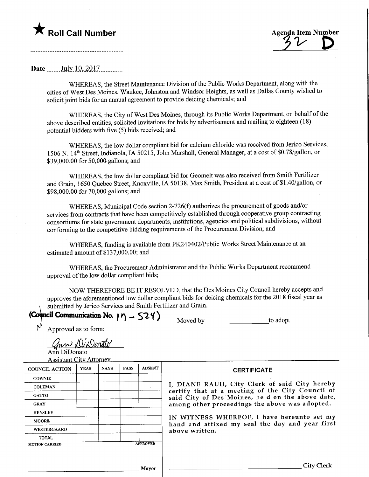## **T** Roll Call Number la Item Number Agenda Item Number

## Date .July.10,.2017.

WHEREAS, the Street Maintenance Division of the Public Works Department, along with the cities of West Des Moines, Waukee, Johnston and Windsor Heights, as well as Dallas County wished to solicit joint bids for an annual agreement to provide deicing chemicals; and

WHEREAS, the City of West Des Moines, through its Public Works Department, on behalf of the above described entities, solicited invitations for bids by advertisement and mailing to eighteen (18) potential bidders with five (5) bids received; and

WHEREAS, the low dollar compliant bid for calcium chloride was received from Jerico Services, 1506 N. 14<sup>th</sup> Street, Indianola, IA 50215, John Marshall, General Manager, at a cost of \$0.78/gallon, or \$39,000.00 for 50,000 gallons; and

WHEREAS, the low dollar compliant bid for Geomelt was also received from Smith Fertilizer and Grain, 1650 Quebec Street, Knoxville, IA 50138, Max Smith, President at a cost of \$1.40/gallon, or \$98,000.00 for 70,000 gallons; and

WHEREAS, Municipal Code section 2-726(f) authorizes the procurement of goods and/or services from contracts that have been competitively established through cooperative group contracting consortiums for state government departments, institutions, agencies and political subdivisions, without conforming to the competitive bidding requirements of the Procurement Division; and

WHEREAS, funding is available from PK240402/Public Works Street Maintenance at an estimated amount of \$137,000.00; and

WHEREAS, the Procurement Administrator and the Public Works Department recommend approval of the low dollar compliant bids;

NOW THEREFORE BE IT RESOLVED, that the Des Moines City Council hereby accepts and approves the aforementioned low dollar compliant bids for deicing chemicals for the 2018 fiscal year as submitted by Jerico Services and Smith Fertilizer and Grain.

(Council Communication No.  $\gamma \gamma - \zeta$ 2 $\gamma$ )

| Moved by | to adopt |
|----------|----------|
|----------|----------|

Approved as to form:

ann DiDenato

Ann DiDonato Assistant Citv Attorney

| Assistant City Tuttuno i |             |             |             |                    |                                                                                                      |
|--------------------------|-------------|-------------|-------------|--------------------|------------------------------------------------------------------------------------------------------|
| <b>COUNCIL ACTION</b>    | <b>YEAS</b> | <b>NAYS</b> | <b>PASS</b> | <b>ABSENT</b>      | <b>CERTIFICATE</b>                                                                                   |
| <b>COWNIE</b>            |             |             |             |                    |                                                                                                      |
| <b>COLEMAN</b>           |             |             |             |                    | I, DIANE RAUH, City Clerk of said City hereby                                                        |
| <b>GATTO</b>             |             |             |             |                    | certify that at a meeting of the City Council of<br>said City of Des Moines, held on the above date, |
| <b>GRAY</b>              |             |             |             |                    | among other proceedings the above was adopted.                                                       |
| <b>HENSLEY</b>           |             |             |             |                    |                                                                                                      |
| <b>MOORE</b>             |             |             |             |                    | IN WITNESS WHEREOF, I have hereunto set my<br>hand and affixed my seal the day and year first        |
| <b>WESTERGAARD</b>       |             |             |             |                    | above written.                                                                                       |
| <b>TOTAL</b>             |             |             |             |                    |                                                                                                      |
| <b>MOTION CARRIED</b>    |             |             |             | <b>APPROVED</b>    |                                                                                                      |
|                          |             |             |             |                    |                                                                                                      |
|                          |             |             |             | <b>TANGER 2006</b> | City Clerk                                                                                           |

Mayor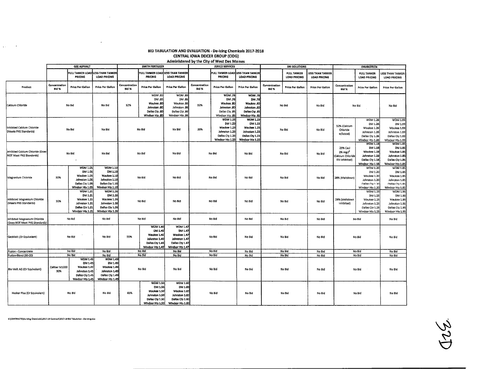## BID TABULATION AND EVALUATION - De-Icing Chemicals 2017-2018 CENTRAL IOWA DEICER GROUP (CIDG) Administered by the City of West Des Moines

 $\sim 100$ 

 $\sim 10^7$ 

 $\alpha$ 

 $\alpha_{\rm{max}}=0.5$ 

|                                                               | <b>GEE ASPHALT</b>            |                                    |                                                | <b>SMITH FERTILIZER</b>             |                                                     |                                     | <b>JERICO SERVICES</b>               |                                |                                                          |                        | SNI SOLUTIONS                      |                                                | <b>ENVIROTECH</b>           |                                           |                                         |
|---------------------------------------------------------------|-------------------------------|------------------------------------|------------------------------------------------|-------------------------------------|-----------------------------------------------------|-------------------------------------|--------------------------------------|--------------------------------|----------------------------------------------------------|------------------------|------------------------------------|------------------------------------------------|-----------------------------|-------------------------------------------|-----------------------------------------|
|                                                               |                               | <b>FULL TANKER LOAD</b><br>PRICING | <b>LESS THAN TANKER</b><br><b>LOAD PRICING</b> |                                     | FULL TANKER LOAD LESS THAN TANKER<br><b>PRICING</b> | LOAD PRICING                        |                                      | <b>FRICING</b>                 | FULL TANKER LOAD LESS THAN TANKER<br><b>LOAD PRICING</b> |                        | <b>FULL TANKER</b><br>LOAD PRICING | <b>LESS THAN TANKER</b><br><b>LOAD PRICING</b> |                             | <b>FULL TANKER</b><br><b>LOAD PRICING</b> | LESS THAN TANKER<br><b>LOAD PRICING</b> |
| Product                                                       | Concentration<br><b>Bid %</b> | <b>Price Per Gallon</b>            | <b>Price Per Galion</b>                        | Concentration<br>Bld %              | Price Per Gallon                                    | Price Per Gallon                    | Concentration<br>Bid %               | Price Per Gallon               | <b>Price Per Gallon</b>                                  | Concentration<br>Bid % | Price Per Gallon                   | Price Per Gallon                               | Concentration<br>Bid %      | <b>Price Per Gallon</b>                   | Price Per Gallon                        |
|                                                               |                               |                                    |                                                |                                     | WDM .80                                             | <b>WDM.86</b>                       |                                      | <b>WDM.78</b>                  | <b>WDM 78</b>                                            |                        |                                    |                                                |                             |                                           |                                         |
|                                                               |                               |                                    |                                                |                                     | DM .80                                              | DM 86                               |                                      | DM .78                         | DM .78                                                   |                        |                                    |                                                |                             |                                           |                                         |
| Calcium Chloride                                              | No Bid                        |                                    | No Bid                                         | 32%                                 | Waukee .80                                          | Waukee 86                           | 32%<br>Johnston 86<br>Dallas Cty .86 | Waukee .80                     | Waukee .80                                               |                        | No Bid                             | No Bid                                         | No Bid                      |                                           | No Bid                                  |
|                                                               |                               |                                    |                                                |                                     | Johnston 80<br>Dakas Cty .80                        |                                     |                                      | Johnston .BC<br>Dallas Cty .85 | Johnston .BO<br>Dallas Cry .85                           |                        |                                    |                                                |                             |                                           |                                         |
|                                                               |                               |                                    |                                                |                                     | Windsor Hts .80                                     | Windsor Hts .86                     |                                      | Windsor Hts .85                | Windsor Hts .85                                          |                        |                                    |                                                |                             |                                           |                                         |
|                                                               |                               |                                    |                                                |                                     |                                                     |                                     |                                      | <b>WDM 1.23</b>                | <b>WDM 1.23</b>                                          |                        |                                    |                                                |                             | <b>WDM 1.26</b>                           | <b>WDM 1.99</b>                         |
|                                                               |                               |                                    |                                                |                                     |                                                     |                                     |                                      | DM 1.23                        | DM 1.23                                                  |                        |                                    |                                                |                             | DM 1.26                                   | DM 1.99                                 |
| Inhibited Calcium Chloride                                    |                               | No Bid                             | No Bid                                         |                                     | No Bid                                              | No Bid                              | 39%                                  | Waukee 1.23                    | Waukee 1.23                                              |                        | No Bid                             | No Bid                                         | 32% (Calcium<br>Chloride    | Waukee 1.26                               | Waukee 1.99                             |
| (Meets PNS Standards)                                         |                               |                                    |                                                |                                     |                                                     |                                     |                                      | Johnston 1.23                  | Johnston 1.23                                            |                        |                                    |                                                | w/boost)                    | Johnston 1.26                             | Johnston 1.99                           |
|                                                               |                               |                                    |                                                |                                     |                                                     |                                     |                                      | Dallas Cty 1.23                | Dallas Cty 1,23                                          |                        |                                    |                                                |                             | Dallas Ctv 1.26                           | Dallas Cty 1.99                         |
|                                                               |                               |                                    |                                                |                                     |                                                     |                                     |                                      | Windsor Hts 1.23               | Windsor Hts 1.23                                         |                        |                                    |                                                |                             | Windsor Hts 1.26<br><b>WDM 1.18</b>       | Windsor Hts 1.99<br><b>WDM 1.85</b>     |
|                                                               |                               |                                    |                                                |                                     |                                                     | No Bid                              |                                      |                                |                                                          |                        |                                    |                                                | 29% Cacl                    | DM 1.18                                   | DM 1.85                                 |
| Inhibited Calcium Chloride (Does                              | No Bid<br>$\cdot$             |                                    |                                                |                                     | No Bid                                              |                                     |                                      |                                |                                                          | No Bid                 |                                    | No Bid                                         | 2% mgcl <sup>2</sup>        | Waukee 1.18                               | Waukee 1.85                             |
| NOT Meet PNS Standards)                                       |                               |                                    | No Bid                                         |                                     |                                                     |                                     |                                      | No Bid                         | No Bid                                                   |                        |                                    |                                                | Calcium Chloride            | Johnston 1.18                             | Johnston 1.85                           |
|                                                               |                               |                                    |                                                |                                     |                                                     |                                     |                                      |                                |                                                          |                        |                                    |                                                | ESI Inhibited)              | Dallas Cty 1.18                           | Dallas Cty 1.85                         |
|                                                               |                               |                                    |                                                |                                     |                                                     |                                     |                                      |                                |                                                          |                        |                                    |                                                |                             | Windsor Hts 1.18                          | Windsor Hts 1.85                        |
|                                                               | 30%                           | <b>WDM 1.05</b><br>DM 1.05         | <b>WDM 1.10</b><br>DM 1.10                     |                                     |                                                     |                                     |                                      |                                |                                                          |                        |                                    |                                                |                             | WDM 1.20<br>DM 1.20                       | <b>WDM 1.85</b>                         |
|                                                               |                               | Waukee 1.05                        | Waukee 1.10                                    |                                     | No Bid                                              | No Bid                              |                                      |                                |                                                          |                        |                                    |                                                | Waukee 1.20                 | DM 1.85<br>Waukee 1.85                    |                                         |
| Magnesium Chloride                                            |                               | Johnston 1.05                      | Iohnston 1.10                                  |                                     |                                                     |                                     | No Bid                               |                                | No Bid                                                   | No Bid                 | No Bid                             | 29% (Meltdown)                                 | Johnston 1.20               | Johnston 1.85                             |                                         |
|                                                               |                               | Dallas Cly 1.05                    | Dallas Cty 1.10                                |                                     |                                                     |                                     |                                      |                                |                                                          |                        |                                    |                                                |                             | Dallas Cty 1.20                           | Dallas Cty 1.85                         |
|                                                               |                               | Windsor Hts 1.05                   | Windsor Hts 1.10                               |                                     |                                                     |                                     |                                      |                                |                                                          |                        |                                    |                                                |                             | Windsor Hts 1.20                          | Windsor Hts 1.85                        |
|                                                               |                               | <b>WDM 1.21</b>                    | <b>WDM 1.26</b>                                |                                     |                                                     |                                     |                                      |                                |                                                          |                        |                                    |                                                |                             | <b>WDM 1.25</b>                           | <b>WDM 1.95</b>                         |
|                                                               | 30%                           | DM 1.21                            | DM 1.26                                        |                                     |                                                     |                                     |                                      |                                |                                                          |                        |                                    |                                                |                             | DM 1.25                                   | DM 1.95                                 |
| Inhibited Magnesium Chloride<br>(Meets PNS Standards)         |                               | Waukee 1.21<br>Johnston 1.21       | Waukee 1.26<br>Johnston 1.26                   |                                     | No Bid                                              | No Bld                              |                                      | No Bid                         | No Bid                                                   | No Bid                 |                                    | No Bid                                         | 29% (Meltdown<br>Inhibited) | Waukee 1.25<br>Johnston 1.25              | Waukee 1.95<br>Johnston 1.95            |
|                                                               |                               | Dallas Cty 1.21                    | Dallas Cty 1.26                                |                                     |                                                     |                                     |                                      |                                |                                                          |                        |                                    |                                                |                             | Dallas Cty 1.25                           | Dailas Cty 1.95                         |
|                                                               | Windsor Hts 1.21              |                                    | Windsor Hts 1.26                               |                                     |                                                     |                                     |                                      |                                |                                                          |                        |                                    |                                                |                             | Windsor Hts 1.25                          | Windsor Hts 1.95                        |
| Inhibited Magnesium Chloride<br>(Does NOT Meet PNS Standards) | No Bid                        |                                    | No Bid                                         | No Bld                              |                                                     | No Bid                              | No Bld                               |                                | No Bid                                                   | No Bid                 |                                    | No Bid                                         | No Bld                      |                                           | No Bid                                  |
|                                                               |                               |                                    |                                                |                                     | <b>WDM 1.40</b>                                     | <b>WDM 1.47</b>                     |                                      |                                |                                                          |                        |                                    |                                                |                             |                                           |                                         |
|                                                               | No Bld<br>No Bid              |                                    |                                                |                                     |                                                     | DM 1.40<br>DM 1.47                  |                                      |                                |                                                          |                        |                                    |                                                |                             |                                           |                                         |
| GeoMelt (Or Equivalent)                                       |                               |                                    |                                                | 55%                                 | Waukee 1.40                                         | Waukee 1.47                         | No Bid                               |                                | No Bid                                                   | No Bid                 |                                    | No Bid                                         | No Bid                      |                                           | No Bid                                  |
|                                                               |                               |                                    |                                                |                                     | Johnston 1.40                                       | Johnston 1.47                       |                                      |                                |                                                          |                        |                                    |                                                |                             |                                           |                                         |
|                                                               |                               |                                    |                                                |                                     | Dallas Cty 1.40<br>Windsor Hts 1.40                 | Dallas Cty 1.47<br>Windsor Hts 1.47 |                                      |                                |                                                          |                        |                                    |                                                |                             |                                           |                                         |
| Fusion - Concentrate                                          |                               | No Bld                             | No Bid                                         |                                     | No Bld                                              | No Bid                              |                                      | No Bid                         | No Bld                                                   | No Bid                 |                                    | No Bid                                         |                             | No Bid                                    | No Bid                                  |
| Fusion-Blend (80-20)                                          |                               | No Bid                             | No Bid                                         |                                     | No Bld                                              | No Bid                              |                                      | No Bid                         | No Bld                                                   | No Bid                 |                                    | No Bid                                         | No Bld                      |                                           | No Bld                                  |
|                                                               |                               | <b>WDM 1.45</b>                    | <b>WDM 1.49</b>                                |                                     |                                                     |                                     |                                      |                                |                                                          |                        |                                    |                                                |                             |                                           |                                         |
|                                                               |                               | DM 1.45                            | DM 1.49                                        |                                     |                                                     |                                     |                                      |                                |                                                          |                        |                                    |                                                |                             |                                           |                                         |
| Bio Melt AG (Or Equivalent)                                   | Caliber M1000                 | Waukee 1.45                        | Waukee 1.49                                    |                                     | No Bid                                              | No Bid                              |                                      | No Bid                         | No Bid                                                   |                        | No Bid                             | No Bid                                         |                             | No Bid                                    | No Bid                                  |
|                                                               | 30%                           | Johnston 1.45<br>Dallas Cty 1.45   | Johnston 1.49<br>Dallas Ctv 1.49               |                                     |                                                     |                                     |                                      |                                |                                                          |                        |                                    |                                                |                             |                                           |                                         |
|                                                               | Windsor Hts 1.45              |                                    | Windsor Hts 1.49                               |                                     |                                                     |                                     |                                      |                                |                                                          |                        |                                    |                                                |                             |                                           |                                         |
|                                                               |                               |                                    |                                                |                                     | <b>WDM 1.50</b>                                     | WDM 1.60                            |                                      |                                |                                                          |                        |                                    |                                                |                             |                                           |                                         |
|                                                               |                               |                                    |                                                |                                     | DM 1.50                                             | DM 1.60                             |                                      |                                |                                                          |                        |                                    |                                                |                             |                                           |                                         |
| Husker Plus (Or Equivalent)                                   | No Bid                        |                                    | No Bid                                         | 65%                                 | Waukee 1.50                                         | Waukee 1.60                         |                                      | No Bid                         | No Bld                                                   |                        | No Bid                             | No Bid                                         | No Bid                      |                                           | No Bld                                  |
|                                                               |                               |                                    |                                                |                                     | Johnston 1.50                                       | Johnston 1.60                       |                                      |                                |                                                          |                        |                                    |                                                |                             |                                           |                                         |
|                                                               |                               |                                    |                                                | Dallas Cty 1.50<br>Windsor Hts 1.50 |                                                     | Dallas Cty 1.60<br>Windsor Hts 1.60 |                                      |                                |                                                          |                        |                                    |                                                |                             |                                           |                                         |
|                                                               |                               |                                    |                                                |                                     |                                                     |                                     |                                      |                                |                                                          |                        |                                    |                                                |                             |                                           |                                         |

S:\CONTRACTS\De-Icing Chemicals\2017-18 Contract\2017-18 Bid Tabulation - De-Icing.xlsx

 $\sim 10^{11}$ 

A25